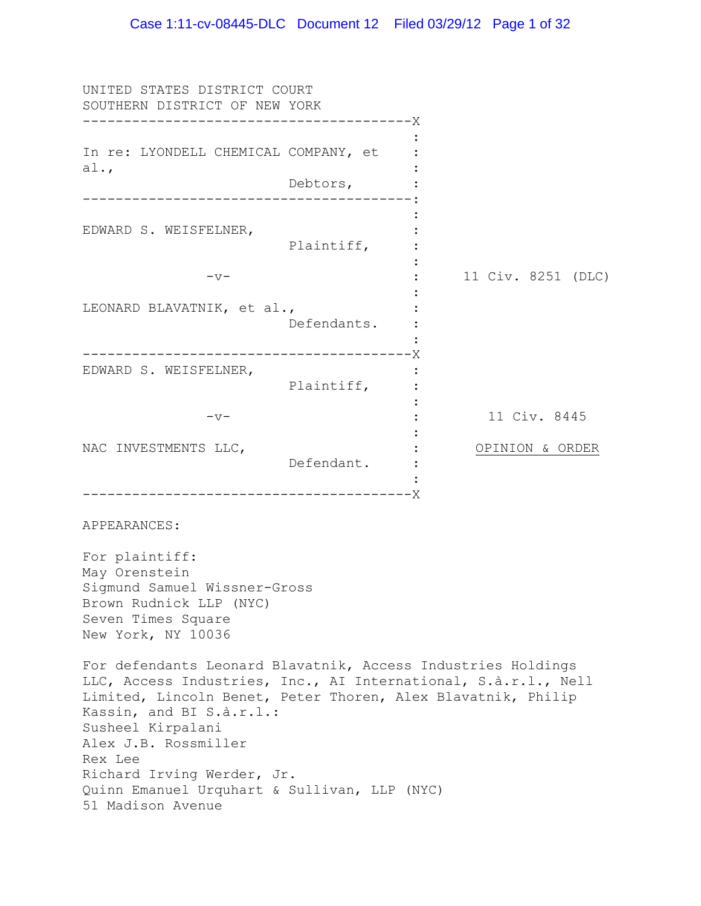UNITED STATES DISTRICT COURT SOUTHERN DISTRICT OF NEW YORK ---------------------------------------- X In re: LYONDELL CHEMICAL COMPANY, et al., Debtors, ---------------------------------------- : EDWARD S. WEISFELNER, Plaintiff, :  $-v-$ LEONARD BLAVATNIK, et al., Defendants. ---------------------------------------- X EDWARD S. WEISFELNER, Plaintiff, :  $-v-$ NAC INVESTMENTS LLC, Defendant. : ---------------------------------------- X : : : : 1999 : 1999 : : : : 11 Civ. 8251 (DLC) : :  $\cdot$  : : : : : : : : 11 Civ. 8445 OPINION & ORDER APPEARANCES: For plaintiff: May Orenstein Sigmund Samuel Wissner-Gross Brown Rudnick LLP (NYC) Seven Times Square New York, NY 10036 For defendants Leonard Blavatnik, Access Industries Holdings LLC, Access Industries, Inc., AI International, S.à.r.l., Nell Limited, Lincoln Benet, Peter Thoren, Alex Blavatnik, Philip Kassin, and BI S.à.r.l.: Susheel Kirpalani Alex J.B. Rossmiller Rex Lee Richard Irving Werder, Jr. Quinn Emanuel Urquhart & Sullivan, LLP (NYC) 51 Madison Avenue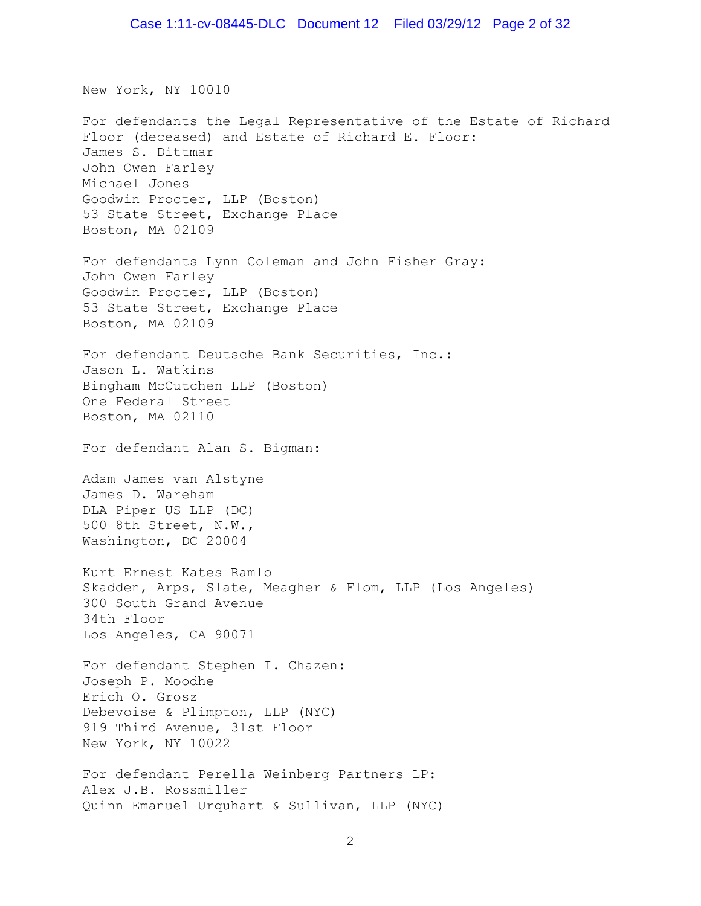New York, NY 10010

For defendants the Legal Representative of the Estate of Richard Floor (deceased) and Estate of Richard E. Floor: James S. Dittmar John Owen Farley Michael Jones Goodwin Procter, LLP (Boston) 53 State Street, Exchange Place Boston, MA 02109 For defendants Lynn Coleman and John Fisher Gray: John Owen Farley Goodwin Procter, LLP (Boston) 53 State Street, Exchange Place Boston, MA 02109 For defendant Deutsche Bank Securities, Inc.: Jason L. Watkins Bingham McCutchen LLP (Boston) One Federal Street Boston, MA 02110 For defendant Alan S. Bigman: Adam James van Alstyne James D. Wareham DLA Piper US LLP (DC) 500 8th Street, N.W., Washington, DC 20004 Kurt Ernest Kates Ramlo Skadden, Arps, Slate, Meagher & Flom, LLP (Los Angeles) 300 South Grand Avenue 34th Floor Los Angeles, CA 90071 For defendant Stephen I. Chazen: Joseph P. Moodhe Erich O. Grosz Debevoise & Plimpton, LLP (NYC) 919 Third Avenue, 31st Floor New York, NY 10022 For defendant Perella Weinberg Partners LP: Alex J.B. Rossmiller Quinn Emanuel Urquhart & Sullivan, LLP (NYC)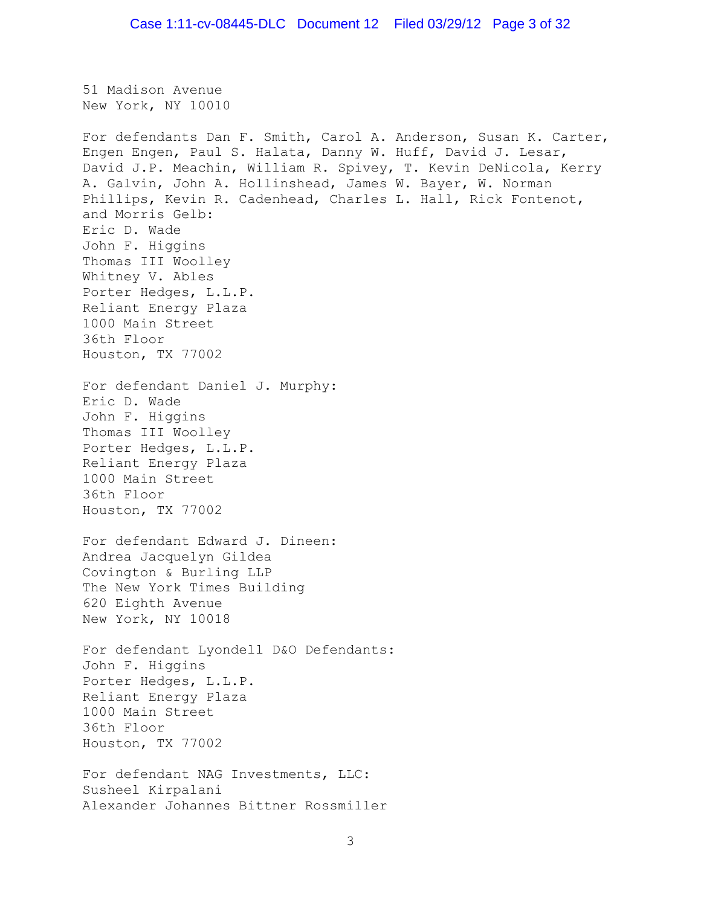51 Madison Avenue New York, NY 10010 For defendants Dan F. Smith, Carol A. Anderson, Susan K. Carter, Engen Engen, Paul S. Halata, Danny W. Huff, David J. Lesar, David J.P. Meachin, William R. Spivey, T. Kevin DeNicola, Kerry A. Galvin, John A. Hollinshead, James W. Bayer, W. Norman Phillips, Kevin R. Cadenhead, Charles L. Hall, Rick Fontenot, and Morris Gelb: Eric D. Wade John F. Higgins Thomas III Woolley Whitney V. Ables Porter Hedges, L.L.P. Reliant Energy Plaza 1000 Main Street 36th Floor Houston, TX 77002 For defendant Daniel J. Murphy: Eric D. Wade John F. Higgins Thomas III Woolley Porter Hedges, L.L.P. Reliant Energy Plaza 1000 Main Street 36th Floor Houston, TX 77002 For defendant Edward J. Dineen: Andrea Jacquelyn Gildea Covington & Burling LLP The New York Times Building 620 Eighth Avenue New York, NY 10018 For defendant Lyondell D&O Defendants: John F. Higgins Porter Hedges, L.L.P. Reliant Energy Plaza 1000 Main Street 36th Floor Houston, TX 77002 For defendant NAG Investments, LLC: Susheel Kirpalani Alexander Johannes Bittner Rossmiller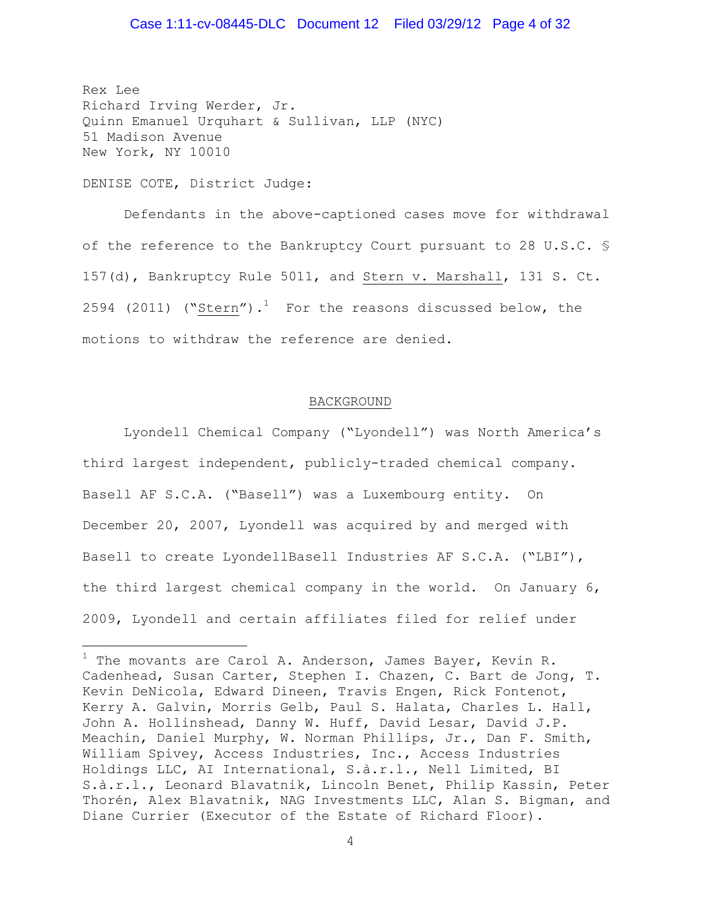### Case 1:11-cv-08445-DLC Document 12 Filed 03/29/12 Page 4 of 32

Rex Lee Richard Irving Werder, Jr. Quinn Emanuel Urquhart & Sullivan, LLP (NYC) 51 Madison Avenue New York, NY 10010

DENISE COTE, District Judge:

 $\overline{a}$ 

Defendants in the above-captioned cases move for withdrawal of the reference to the Bankruptcy Court pursuant to 28 U.S.C. § 157(d), Bankruptcy Rule 5011, and Stern v. Marshall, 131 S. Ct. 2594 (2011) ("Stern").<sup>1</sup> For the reasons discussed below, the motions to withdraw the reference are denied.

#### BACKGROUND

Lyondell Chemical Company ("Lyondell") was North America's third largest independent, publicly-traded chemical company. Basell AF S.C.A. ("Basell") was a Luxembourg entity. On December 20, 2007, Lyondell was acquired by and merged with Basell to create LyondellBasell Industries AF S.C.A. ("LBI"), the third largest chemical company in the world. On January 6, 2009, Lyondell and certain affiliates filed for relief under

 $1$  The movants are Carol A. Anderson, James Bayer, Kevin R. Cadenhead, Susan Carter, Stephen I. Chazen, C. Bart de Jong, T. Kevin DeNicola, Edward Dineen, Travis Engen, Rick Fontenot, Kerry A. Galvin, Morris Gelb, Paul S. Halata, Charles L. Hall, John A. Hollinshead, Danny W. Huff, David Lesar, David J.P. Meachin, Daniel Murphy, W. Norman Phillips, Jr., Dan F. Smith, William Spivey, Access Industries, Inc., Access Industries Holdings LLC, AI International, S.à.r.l., Nell Limited, BI S.à.r.l., Leonard Blavatnik, Lincoln Benet, Philip Kassin, Peter Thorén, Alex Blavatnik, NAG Investments LLC, Alan S. Bigman, and Diane Currier (Executor of the Estate of Richard Floor).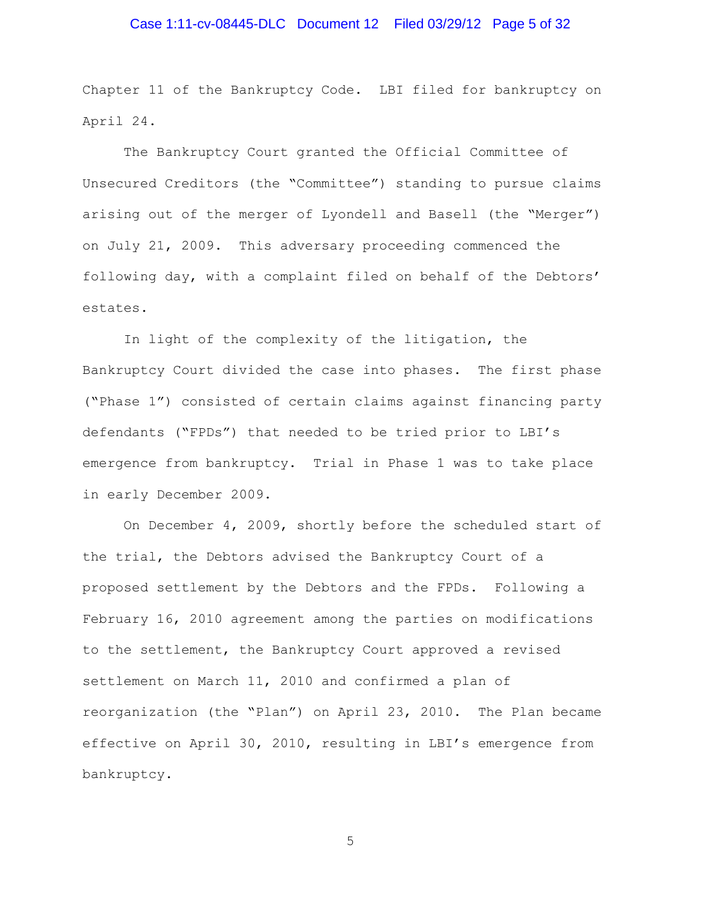# Case 1:11-cv-08445-DLC Document 12 Filed 03/29/12 Page 5 of 32

Chapter 11 of the Bankruptcy Code. LBI filed for bankruptcy on April 24.

The Bankruptcy Court granted the Official Committee of Unsecured Creditors (the "Committee") standing to pursue claims arising out of the merger of Lyondell and Basell (the "Merger") on July 21, 2009. This adversary proceeding commenced the following day, with a complaint filed on behalf of the Debtors' estates.

In light of the complexity of the litigation, the Bankruptcy Court divided the case into phases. The first phase ("Phase 1") consisted of certain claims against financing party defendants ("FPDs") that needed to be tried prior to LBI's emergence from bankruptcy. Trial in Phase 1 was to take place in early December 2009.

On December 4, 2009, shortly before the scheduled start of the trial, the Debtors advised the Bankruptcy Court of a proposed settlement by the Debtors and the FPDs. Following a February 16, 2010 agreement among the parties on modifications to the settlement, the Bankruptcy Court approved a revised settlement on March 11, 2010 and confirmed a plan of reorganization (the "Plan") on April 23, 2010. The Plan became effective on April 30, 2010, resulting in LBI's emergence from bankruptcy.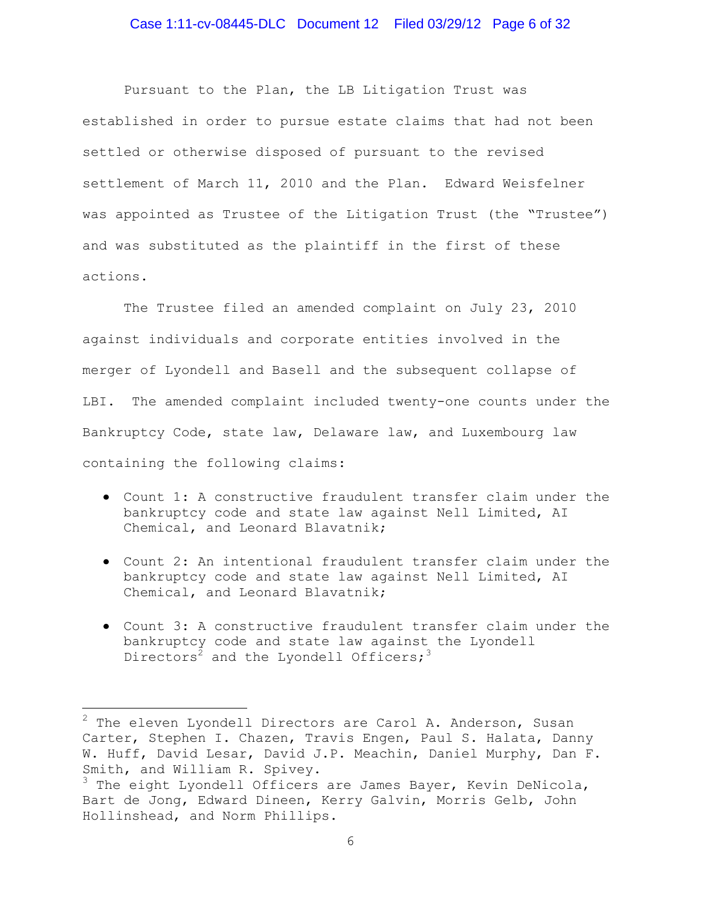### Case 1:11-cv-08445-DLC Document 12 Filed 03/29/12 Page 6 of 32

Pursuant to the Plan, the LB Litigation Trust was established in order to pursue estate claims that had not been settled or otherwise disposed of pursuant to the revised settlement of March 11, 2010 and the Plan. Edward Weisfelner was appointed as Trustee of the Litigation Trust (the "Trustee") and was substituted as the plaintiff in the first of these actions.

The Trustee filed an amended complaint on July 23, 2010 against individuals and corporate entities involved in the merger of Lyondell and Basell and the subsequent collapse of LBI. The amended complaint included twenty-one counts under the Bankruptcy Code, state law, Delaware law, and Luxembourg law containing the following claims:

- Count 1: A constructive fraudulent transfer claim under the bankruptcy code and state law against Nell Limited, AI Chemical, and Leonard Blavatnik;
- Count 2: An intentional fraudulent transfer claim under the bankruptcy code and state law against Nell Limited, AI Chemical, and Leonard Blavatnik;
- Count 3: A constructive fraudulent transfer claim under the bankruptcy code and state law against the Lyondell Directors<sup>2</sup> and the Lyondell Officers;<sup>3</sup>

 $\overline{a}$ 

 $2$  The eleven Lyondell Directors are Carol A. Anderson, Susan Carter, Stephen I. Chazen, Travis Engen, Paul S. Halata, Danny W. Huff, David Lesar, David J.P. Meachin, Daniel Murphy, Dan F. Smith, and William R. Spivey.

 $3$  The eight Lyondell Officers are James Bayer, Kevin DeNicola, Bart de Jong, Edward Dineen, Kerry Galvin, Morris Gelb, John Hollinshead, and Norm Phillips.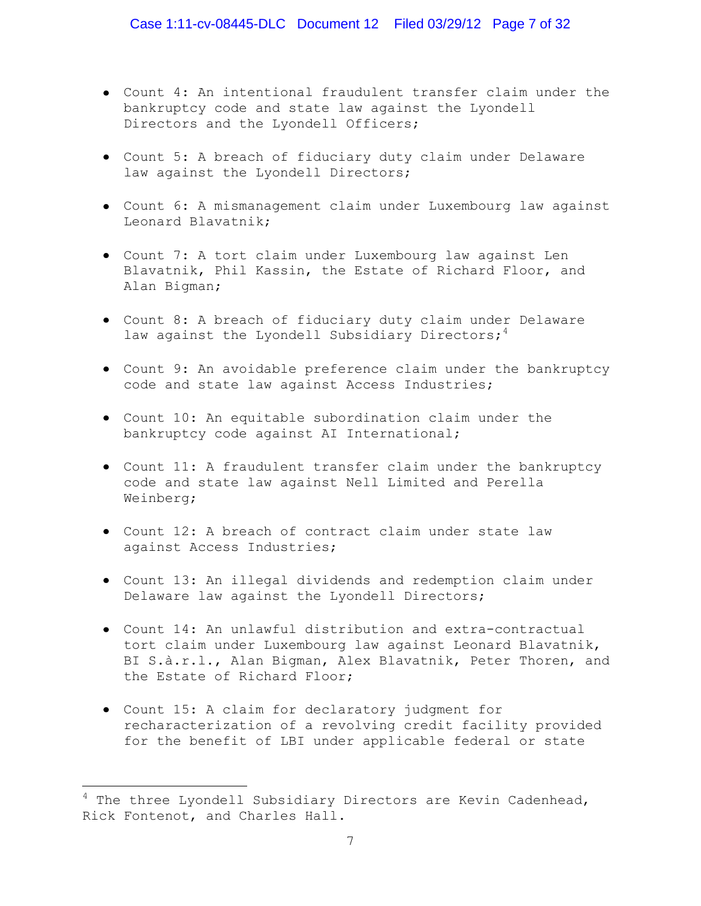- Count 4: An intentional fraudulent transfer claim under the bankruptcy code and state law against the Lyondell Directors and the Lyondell Officers;
- Count 5: A breach of fiduciary duty claim under Delaware law against the Lyondell Directors;
- Count 6: A mismanagement claim under Luxembourg law against Leonard Blavatnik;
- Count 7: A tort claim under Luxembourg law against Len Blavatnik, Phil Kassin, the Estate of Richard Floor, and Alan Bigman;
- Count 8: A breach of fiduciary duty claim under Delaware law against the Lyondell Subsidiary Directors;<sup>4</sup>
- Count 9: An avoidable preference claim under the bankruptcy code and state law against Access Industries;
- Count 10: An equitable subordination claim under the bankruptcy code against AI International;
- Count 11: A fraudulent transfer claim under the bankruptcy code and state law against Nell Limited and Perella Weinberg;
- Count 12: A breach of contract claim under state law against Access Industries;
- Count 13: An illegal dividends and redemption claim under Delaware law against the Lyondell Directors;
- Count 14: An unlawful distribution and extra-contractual tort claim under Luxembourg law against Leonard Blavatnik, BI S.à.r.l., Alan Bigman, Alex Blavatnik, Peter Thoren, and the Estate of Richard Floor;
- Count 15: A claim for declaratory judgment for recharacterization of a revolving credit facility provided for the benefit of LBI under applicable federal or state

 $\overline{a}$ 

 $4$  The three Lyondell Subsidiary Directors are Kevin Cadenhead, Rick Fontenot, and Charles Hall.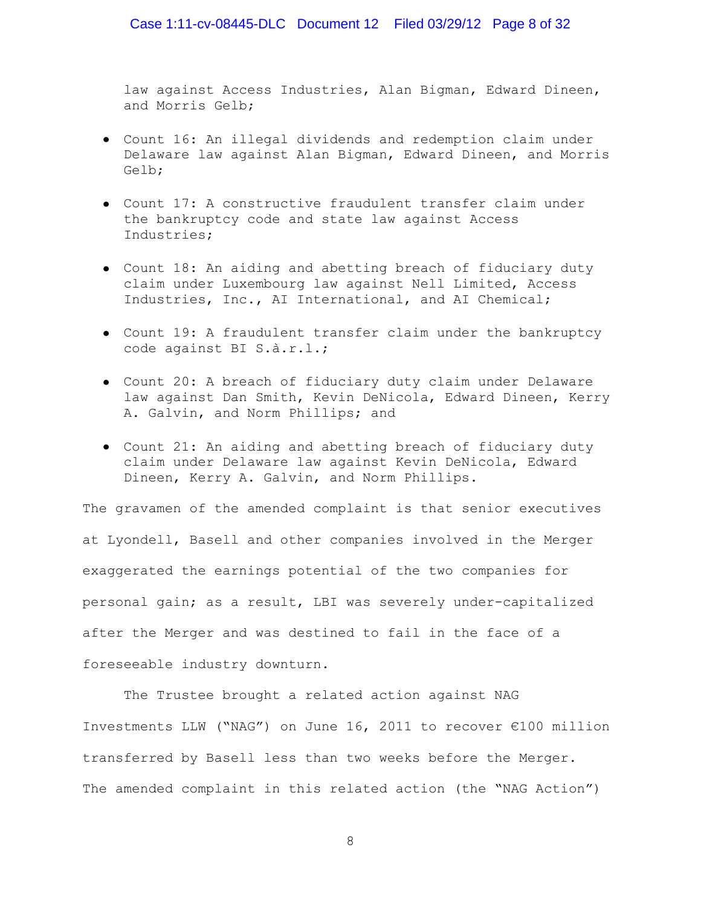law against Access Industries, Alan Bigman, Edward Dineen, and Morris Gelb;

- Count 16: An illegal dividends and redemption claim under Delaware law against Alan Bigman, Edward Dineen, and Morris Gelb;
- Count 17: A constructive fraudulent transfer claim under the bankruptcy code and state law against Access Industries;
- Count 18: An aiding and abetting breach of fiduciary duty claim under Luxembourg law against Nell Limited, Access Industries, Inc., AI International, and AI Chemical;
- Count 19: A fraudulent transfer claim under the bankruptcy code against BI S.à.r.l.;
- Count 20: A breach of fiduciary duty claim under Delaware law against Dan Smith, Kevin DeNicola, Edward Dineen, Kerry A. Galvin, and Norm Phillips; and
- Count 21: An aiding and abetting breach of fiduciary duty claim under Delaware law against Kevin DeNicola, Edward Dineen, Kerry A. Galvin, and Norm Phillips.

The gravamen of the amended complaint is that senior executives at Lyondell, Basell and other companies involved in the Merger exaggerated the earnings potential of the two companies for personal gain; as a result, LBI was severely under-capitalized after the Merger and was destined to fail in the face of a foreseeable industry downturn.

The Trustee brought a related action against NAG Investments LLW ("NAG") on June 16, 2011 to recover €100 million transferred by Basell less than two weeks before the Merger. The amended complaint in this related action (the "NAG Action")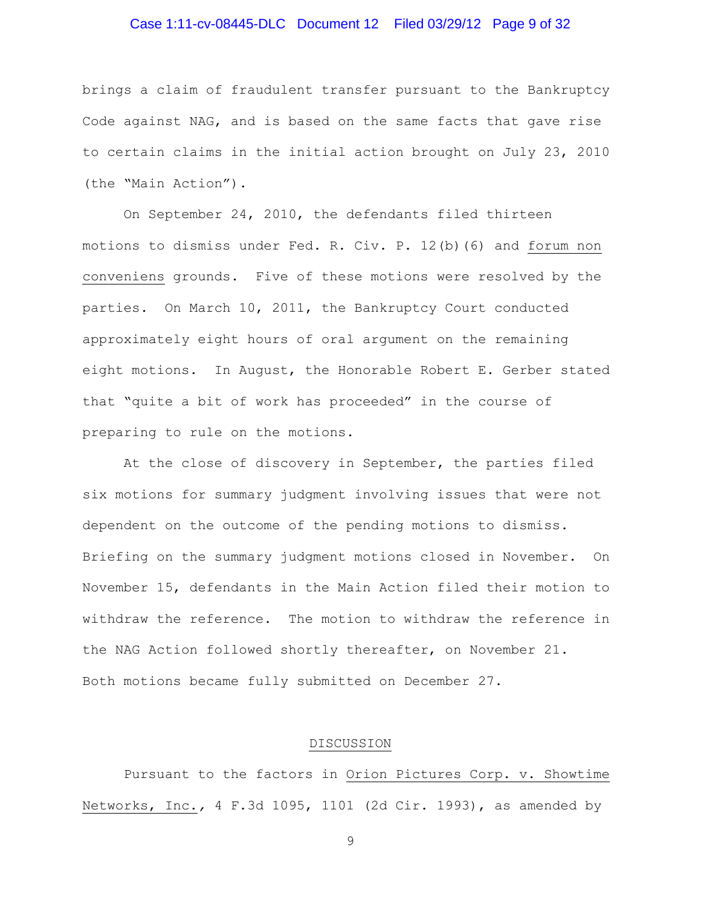# Case 1:11-cv-08445-DLC Document 12 Filed 03/29/12 Page 9 of 32

brings a claim of fraudulent transfer pursuant to the Bankruptcy Code against NAG, and is based on the same facts that gave rise to certain claims in the initial action brought on July 23, 2010 (the "Main Action").

On September 24, 2010, the defendants filed thirteen motions to dismiss under Fed. R. Civ. P. 12(b)(6) and forum non conveniens grounds. Five of these motions were resolved by the parties. On March 10, 2011, the Bankruptcy Court conducted approximately eight hours of oral argument on the remaining eight motions. In August, the Honorable Robert E. Gerber stated that "quite a bit of work has proceeded" in the course of preparing to rule on the motions.

At the close of discovery in September, the parties filed six motions for summary judgment involving issues that were not dependent on the outcome of the pending motions to dismiss. Briefing on the summary judgment motions closed in November. On November 15, defendants in the Main Action filed their motion to withdraw the reference. The motion to withdraw the reference in the NAG Action followed shortly thereafter, on November 21. Both motions became fully submitted on December 27.

### DISCUSSION

Pursuant to the factors in Orion Pictures Corp. v. Showtime Networks, Inc.*,* 4 F.3d 1095, 1101 (2d Cir. 1993), as amended by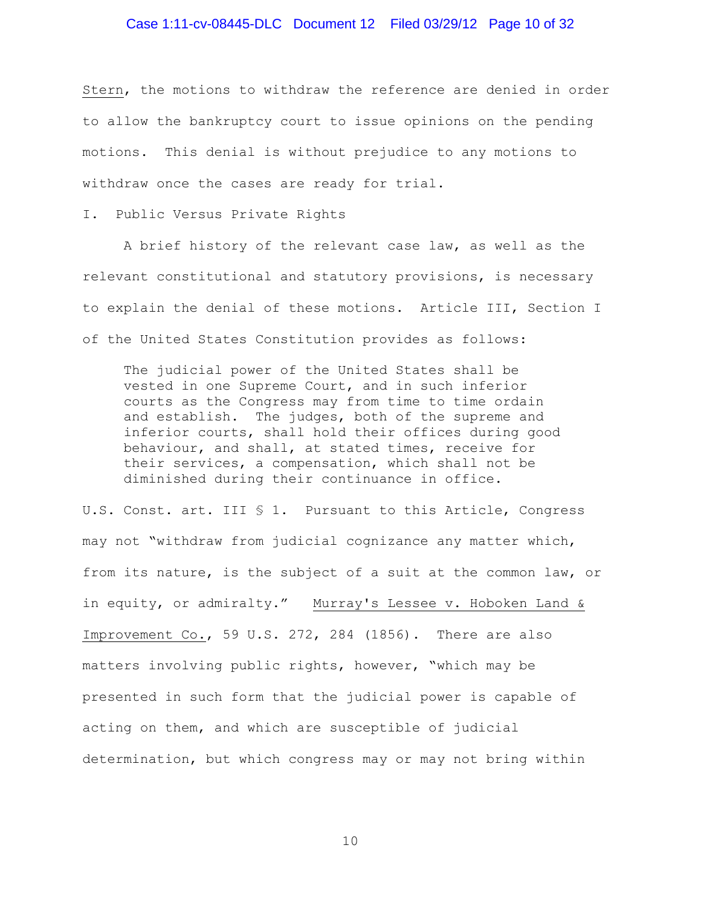### Case 1:11-cv-08445-DLC Document 12 Filed 03/29/12 Page 10 of 32

Stern, the motions to withdraw the reference are denied in order to allow the bankruptcy court to issue opinions on the pending motions. This denial is without prejudice to any motions to withdraw once the cases are ready for trial.

I. Public Versus Private Rights

A brief history of the relevant case law, as well as the relevant constitutional and statutory provisions, is necessary to explain the denial of these motions. Article III, Section I of the United States Constitution provides as follows:

The judicial power of the United States shall be vested in one Supreme Court, and in such inferior courts as the Congress may from time to time ordain and establish. The judges, both of the supreme and inferior courts, shall hold their offices during good behaviour, and shall, at stated times, receive for their services, a compensation, which shall not be diminished during their continuance in office.

U.S. Const. art. III § 1. Pursuant to this Article, Congress may not "withdraw from judicial cognizance any matter which, from its nature, is the subject of a suit at the common law, or in equity, or admiralty." Murray's Lessee v. Hoboken Land & Improvement Co., 59 U.S. 272, 284 (1856). There are also matters involving public rights, however, "which may be presented in such form that the judicial power is capable of acting on them, and which are susceptible of judicial determination, but which congress may or may not bring within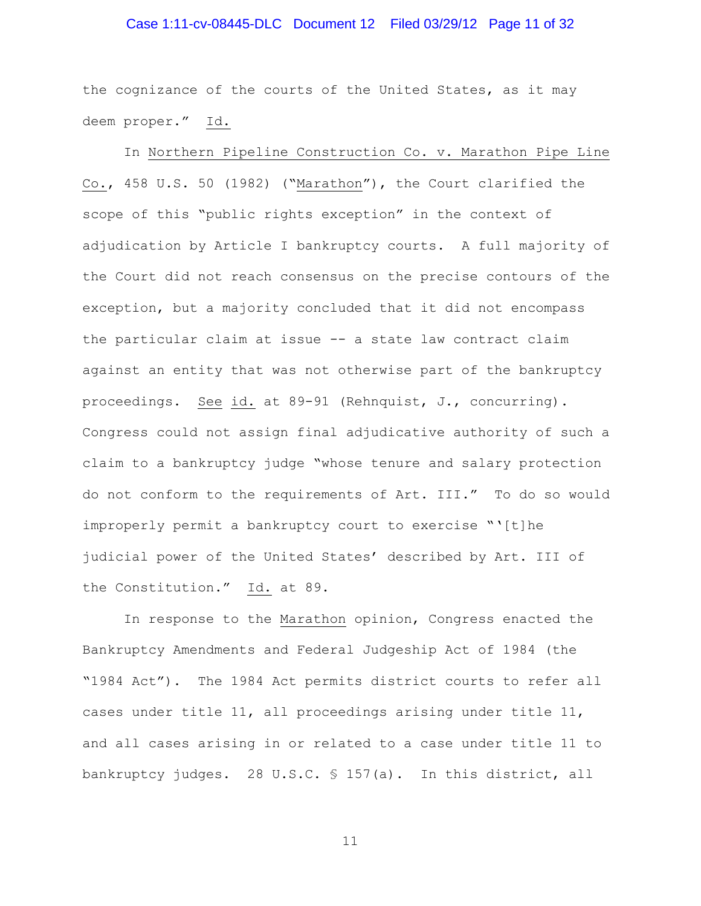### Case 1:11-cv-08445-DLC Document 12 Filed 03/29/12 Page 11 of 32

the cognizance of the courts of the United States, as it may deem proper." Id.

In Northern Pipeline Construction Co. v. Marathon Pipe Line Co., 458 U.S. 50 (1982) ("Marathon"), the Court clarified the scope of this "public rights exception" in the context of adjudication by Article I bankruptcy courts. A full majority of the Court did not reach consensus on the precise contours of the exception, but a majority concluded that it did not encompass the particular claim at issue -- a state law contract claim against an entity that was not otherwise part of the bankruptcy proceedings. See id. at 89-91 (Rehnquist, J., concurring). Congress could not assign final adjudicative authority of such a claim to a bankruptcy judge "whose tenure and salary protection do not conform to the requirements of Art. III." To do so would improperly permit a bankruptcy court to exercise "'[t]he judicial power of the United States' described by Art. III of the Constitution." Id. at 89.

In response to the Marathon opinion, Congress enacted the Bankruptcy Amendments and Federal Judgeship Act of 1984 (the "1984 Act"). The 1984 Act permits district courts to refer all cases under title 11, all proceedings arising under title 11, and all cases arising in or related to a case under title 11 to bankruptcy judges. 28 U.S.C. § 157(a). In this district, all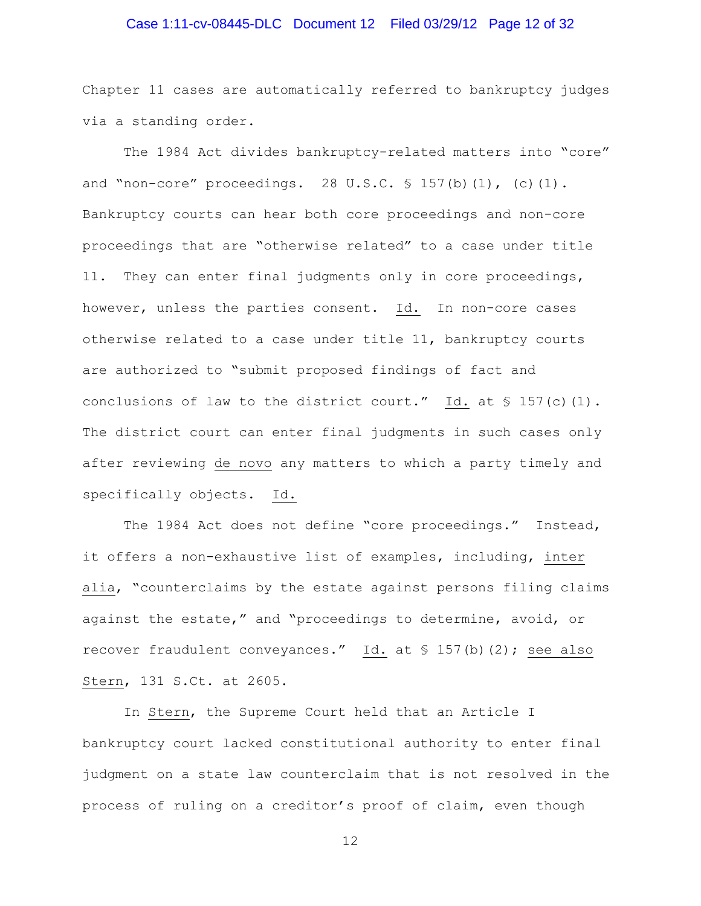### Case 1:11-cv-08445-DLC Document 12 Filed 03/29/12 Page 12 of 32

Chapter 11 cases are automatically referred to bankruptcy judges via a standing order.

The 1984 Act divides bankruptcy-related matters into "core" and "non-core" proceedings. 28 U.S.C.  $\frac{1}{5}$  157(b)(1), (c)(1). Bankruptcy courts can hear both core proceedings and non-core proceedings that are "otherwise related" to a case under title 11. They can enter final judgments only in core proceedings, however, unless the parties consent. Id. In non-core cases otherwise related to a case under title 11, bankruptcy courts are authorized to "submit proposed findings of fact and conclusions of law to the district court."  $Id.$  at § 157(c)(1). The district court can enter final judgments in such cases only after reviewing de novo any matters to which a party timely and specifically objects. Id.

The 1984 Act does not define "core proceedings." Instead, it offers a non-exhaustive list of examples, including, inter alia, "counterclaims by the estate against persons filing claims against the estate," and "proceedings to determine, avoid, or recover fraudulent conveyances." Id. at § 157(b)(2); see also Stern, 131 S.Ct. at 2605.

In Stern, the Supreme Court held that an Article I bankruptcy court lacked constitutional authority to enter final judgment on a state law counterclaim that is not resolved in the process of ruling on a creditor's proof of claim, even though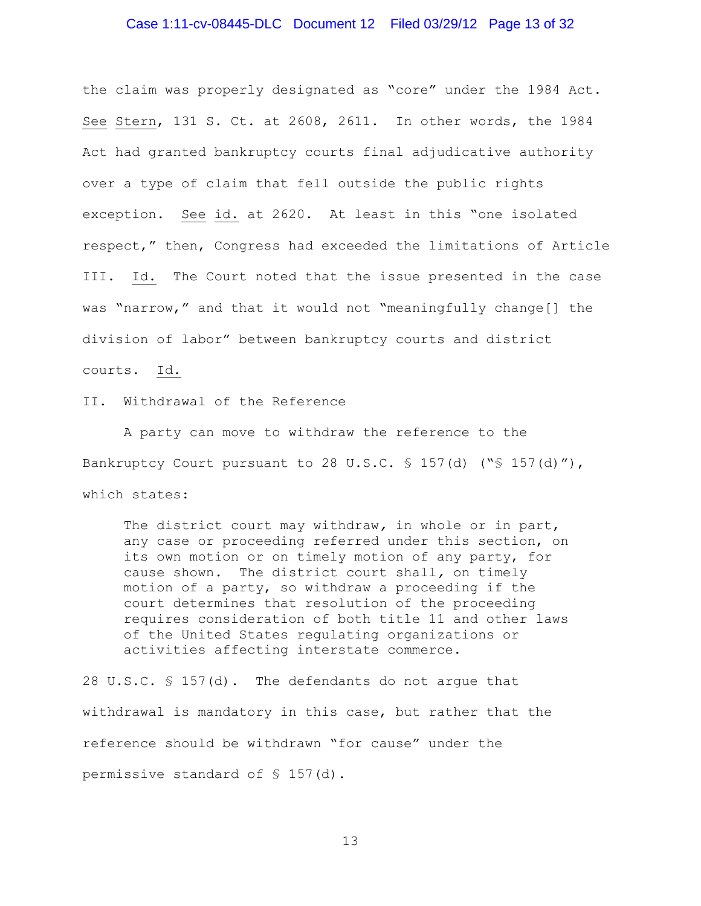### Case 1:11-cv-08445-DLC Document 12 Filed 03/29/12 Page 13 of 32

the claim was properly designated as "core" under the 1984 Act. See Stern, 131 S. Ct. at 2608, 2611. In other words, the 1984 Act had granted bankruptcy courts final adjudicative authority over a type of claim that fell outside the public rights exception. See id. at 2620. At least in this "one isolated respect," then, Congress had exceeded the limitations of Article III. Id. The Court noted that the issue presented in the case was "narrow," and that it would not "meaningfully change[] the division of labor" between bankruptcy courts and district courts. Id.

II. Withdrawal of the Reference

A party can move to withdraw the reference to the Bankruptcy Court pursuant to 28 U.S.C.  $\frac{1}{5}$  157(d) (" $\frac{1}{5}$  157(d)"), which states:

The district court may withdraw*,* in whole or in part, any case or proceeding referred under this section, on its own motion or on timely motion of any party, for cause shown*.* The district court shall*,* on timely motion of a party, so withdraw a proceeding if the court determines that resolution of the proceeding requires consideration of both title 11 and other laws of the United States regulating organizations or activities affecting interstate commerce.

28 U.S.C. § 157(d). The defendants do not argue that withdrawal is mandatory in this case, but rather that the reference should be withdrawn "for cause" under the permissive standard of § 157(d).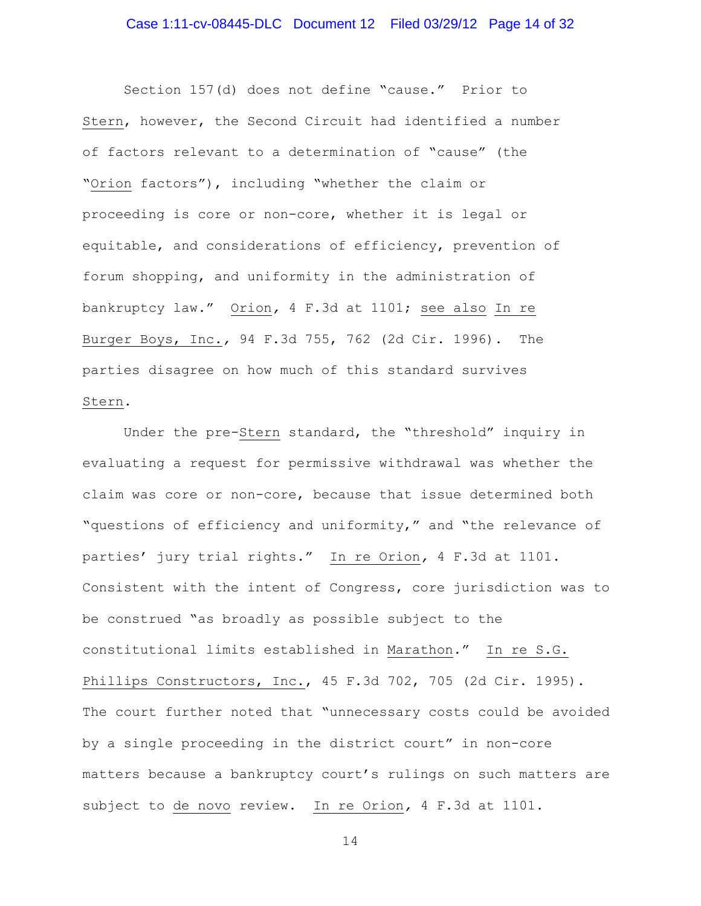Section 157(d) does not define "cause." Prior to Stern, however, the Second Circuit had identified a number of factors relevant to a determination of "cause" (the "Orion factors"), including "whether the claim or proceeding is core or non-core, whether it is legal or equitable, and considerations of efficiency, prevention of forum shopping, and uniformity in the administration of bankruptcy law." Orion*,* 4 F.3d at 1101; see also In re Burger Boys, Inc.*,* 94 F.3d 755, 762 (2d Cir. 1996). The parties disagree on how much of this standard survives Stern.

Under the pre-Stern standard, the "threshold" inquiry in evaluating a request for permissive withdrawal was whether the claim was core or non-core, because that issue determined both "questions of efficiency and uniformity," and "the relevance of parties' jury trial rights." In re Orion*,* 4 F.3d at 1101. Consistent with the intent of Congress, core jurisdiction was to be construed "as broadly as possible subject to the constitutional limits established in Marathon." In re S.G. Phillips Constructors, Inc., 45 F.3d 702, 705 (2d Cir. 1995). The court further noted that "unnecessary costs could be avoided by a single proceeding in the district court" in non-core matters because a bankruptcy court's rulings on such matters are subject to de novo review. In re Orion*,* 4 F.3d at 1101.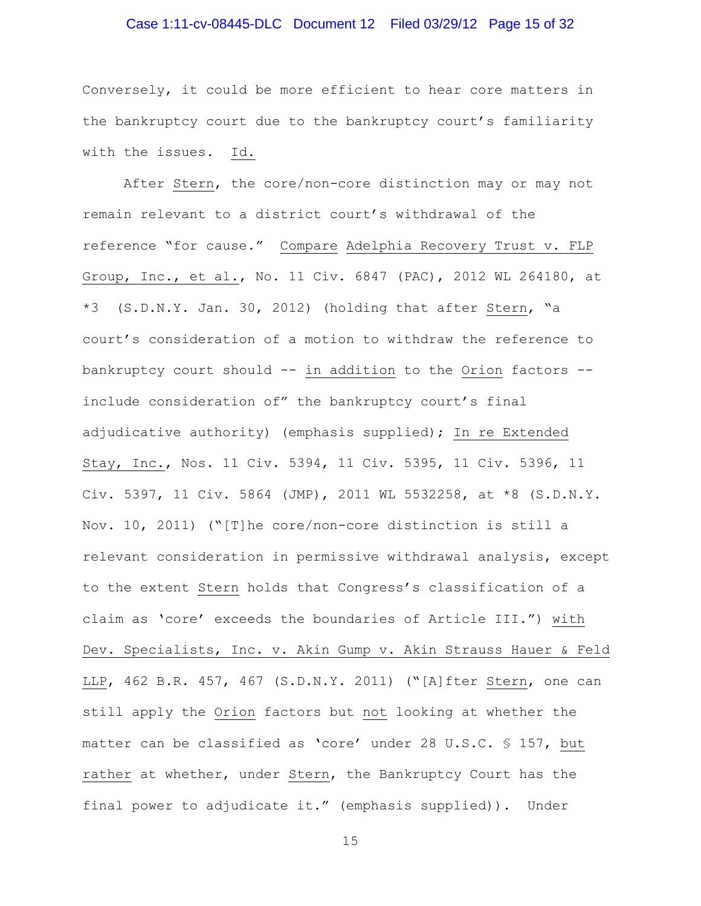### Case 1:11-cv-08445-DLC Document 12 Filed 03/29/12 Page 15 of 32

Conversely, it could be more efficient to hear core matters in the bankruptcy court due to the bankruptcy court's familiarity with the issues. Id.

After Stern, the core/non-core distinction may or may not remain relevant to a district court's withdrawal of the reference "for cause." Compare Adelphia Recovery Trust v. FLP Group, Inc., et al., No. 11 Civ. 6847 (PAC), 2012 WL 264180, at \*3 (S.D.N.Y. Jan. 30, 2012) (holding that after Stern, "a court's consideration of a motion to withdraw the reference to bankruptcy court should -- in addition to the Orion factors - include consideration of" the bankruptcy court's final adjudicative authority) (emphasis supplied); In re Extended Stay, Inc., Nos. 11 Civ. 5394, 11 Civ. 5395, 11 Civ. 5396, 11 Civ. 5397, 11 Civ. 5864 (JMP), 2011 WL 5532258, at \*8 (S.D.N.Y. Nov. 10, 2011) ("[T]he core/non-core distinction is still a relevant consideration in permissive withdrawal analysis, except to the extent Stern holds that Congress's classification of a claim as 'core' exceeds the boundaries of Article III.") with Dev. Specialists, Inc. v. Akin Gump v. Akin Strauss Hauer & Feld LLP, 462 B.R. 457, 467 (S.D.N.Y. 2011) ("[A]fter Stern, one can still apply the Orion factors but not looking at whether the matter can be classified as 'core' under 28 U.S.C. § 157, but rather at whether, under Stern, the Bankruptcy Court has the final power to adjudicate it." (emphasis supplied)). Under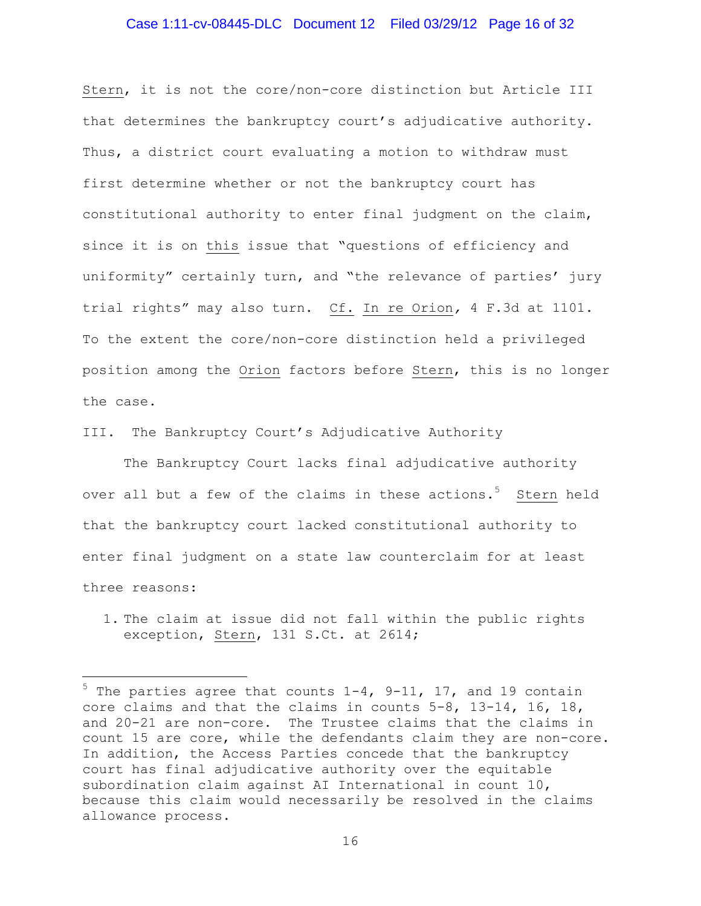### Case 1:11-cv-08445-DLC Document 12 Filed 03/29/12 Page 16 of 32

Stern, it is not the core/non-core distinction but Article III that determines the bankruptcy court's adjudicative authority. Thus, a district court evaluating a motion to withdraw must first determine whether or not the bankruptcy court has constitutional authority to enter final judgment on the claim, since it is on this issue that "questions of efficiency and uniformity" certainly turn, and "the relevance of parties' jury trial rights" may also turn. Cf. In re Orion*,* 4 F.3d at 1101. To the extent the core/non-core distinction held a privileged position among the Orion factors before Stern, this is no longer the case.

III. The Bankruptcy Court's Adjudicative Authority

 $\overline{a}$ 

The Bankruptcy Court lacks final adjudicative authority over all but a few of the claims in these actions.<sup>5</sup> Stern held that the bankruptcy court lacked constitutional authority to enter final judgment on a state law counterclaim for at least three reasons:

1. The claim at issue did not fall within the public rights exception, Stern, 131 S.Ct. at 2614;

 $5$  The parties agree that counts  $1-4$ ,  $9-11$ ,  $17$ , and 19 contain core claims and that the claims in counts 5-8, 13-14, 16, 18, and 20-21 are non-core. The Trustee claims that the claims in count 15 are core, while the defendants claim they are non-core. In addition, the Access Parties concede that the bankruptcy court has final adjudicative authority over the equitable subordination claim against AI International in count 10, because this claim would necessarily be resolved in the claims allowance process.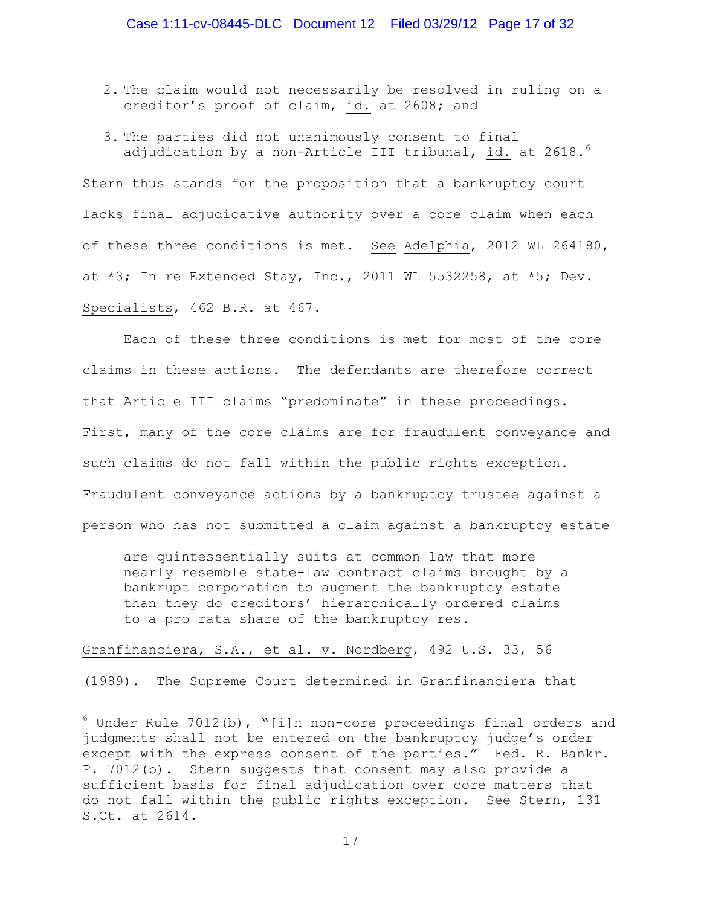- 2. The claim would not necessarily be resolved in ruling on a creditor's proof of claim, id. at 2608; and
- 3. The parties did not unanimously consent to final adjudication by a non-Article III tribunal, id. at 2618. $^6$

Stern thus stands for the proposition that a bankruptcy court lacks final adjudicative authority over a core claim when each of these three conditions is met. See Adelphia, 2012 WL 264180, at  $*3$ ; In re Extended Stay, Inc., 2011 WL 5532258, at  $*5$ ; Dev. Specialists, 462 B.R. at 467.

Each of these three conditions is met for most of the core claims in these actions. The defendants are therefore correct that Article III claims "predominate" in these proceedings. First, many of the core claims are for fraudulent conveyance and such claims do not fall within the public rights exception. Fraudulent conveyance actions by a bankruptcy trustee against a person who has not submitted a claim against a bankruptcy estate

are quintessentially suits at common law that more nearly resemble state-law contract claims brought by a bankrupt corporation to augment the bankruptcy estate than they do creditors' hierarchically ordered claims to a pro rata share of the bankruptcy res.

### Granfinanciera, S.A., et al. v. Nordberg, 492 U.S. 33, 56

 $\overline{a}$ 

(1989). The Supreme Court determined in Granfinanciera that

 $6$  Under Rule 7012(b), "[i]n non-core proceedings final orders and judgments shall not be entered on the bankruptcy judge's order except with the express consent of the parties." Fed. R. Bankr. P. 7012(b). Stern suggests that consent may also provide a sufficient basis for final adjudication over core matters that do not fall within the public rights exception. See Stern, 131 S.Ct. at 2614.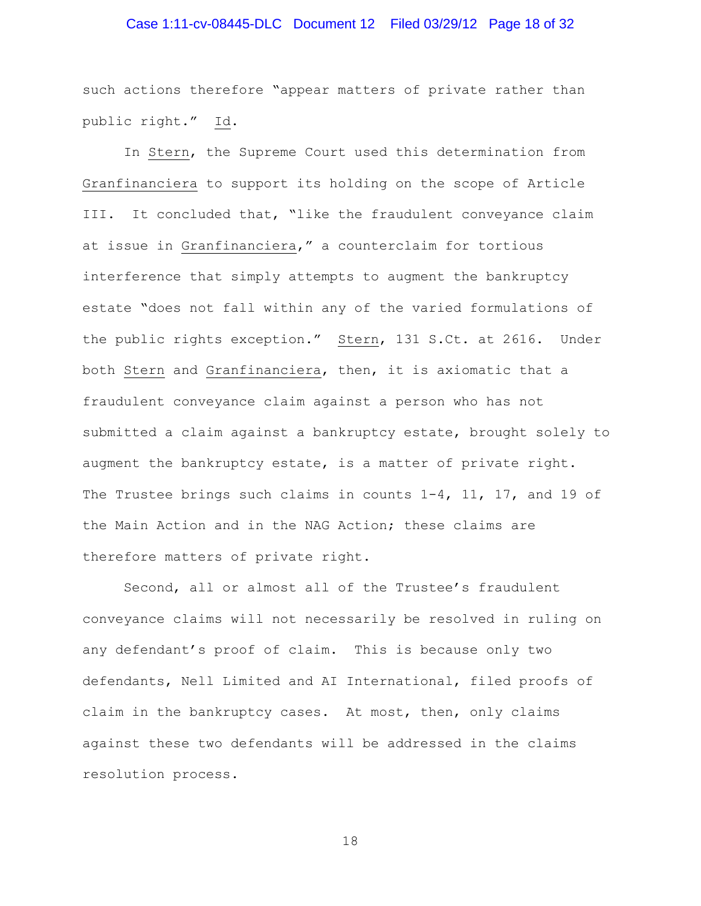### Case 1:11-cv-08445-DLC Document 12 Filed 03/29/12 Page 18 of 32

such actions therefore "appear matters of private rather than public right." Id.

In Stern, the Supreme Court used this determination from Granfinanciera to support its holding on the scope of Article III. It concluded that, "like the fraudulent conveyance claim at issue in Granfinanciera," a counterclaim for tortious interference that simply attempts to augment the bankruptcy estate "does not fall within any of the varied formulations of the public rights exception." Stern, 131 S.Ct. at 2616. Under both Stern and Granfinanciera, then, it is axiomatic that a fraudulent conveyance claim against a person who has not submitted a claim against a bankruptcy estate, brought solely to augment the bankruptcy estate, is a matter of private right. The Trustee brings such claims in counts  $1-4$ ,  $11$ ,  $17$ , and  $19$  of the Main Action and in the NAG Action; these claims are therefore matters of private right.

Second, all or almost all of the Trustee's fraudulent conveyance claims will not necessarily be resolved in ruling on any defendant's proof of claim. This is because only two defendants, Nell Limited and AI International, filed proofs of claim in the bankruptcy cases. At most, then, only claims against these two defendants will be addressed in the claims resolution process.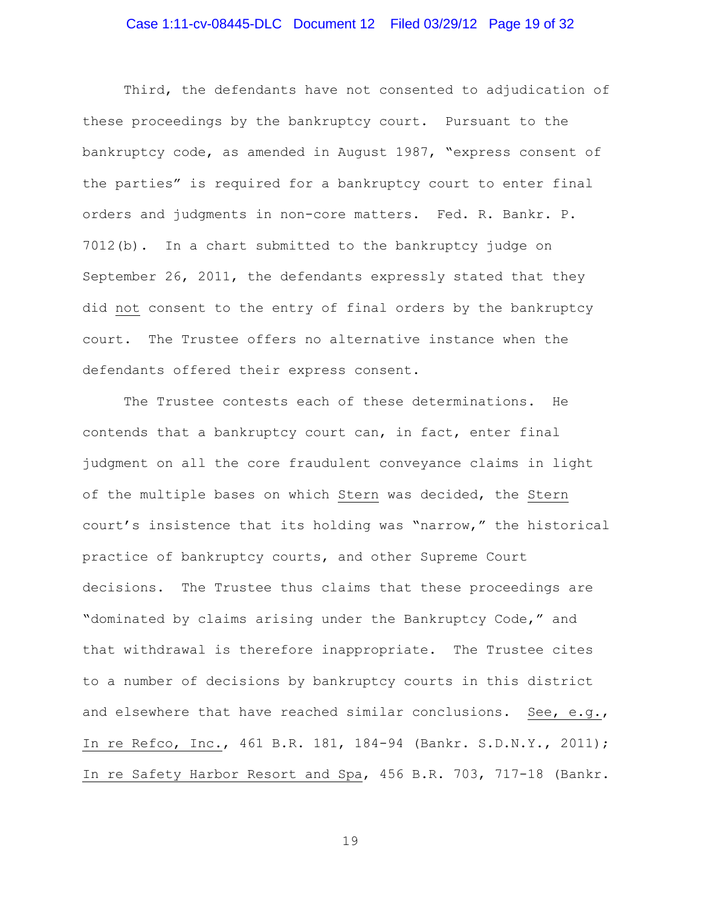### Case 1:11-cv-08445-DLC Document 12 Filed 03/29/12 Page 19 of 32

Third, the defendants have not consented to adjudication of these proceedings by the bankruptcy court. Pursuant to the bankruptcy code, as amended in August 1987, "express consent of the parties" is required for a bankruptcy court to enter final orders and judgments in non-core matters. Fed. R. Bankr. P. 7012(b). In a chart submitted to the bankruptcy judge on September 26, 2011, the defendants expressly stated that they did not consent to the entry of final orders by the bankruptcy court. The Trustee offers no alternative instance when the defendants offered their express consent.

The Trustee contests each of these determinations. He contends that a bankruptcy court can, in fact, enter final judgment on all the core fraudulent conveyance claims in light of the multiple bases on which Stern was decided, the Stern court's insistence that its holding was "narrow," the historical practice of bankruptcy courts, and other Supreme Court decisions. The Trustee thus claims that these proceedings are "dominated by claims arising under the Bankruptcy Code," and that withdrawal is therefore inappropriate. The Trustee cites to a number of decisions by bankruptcy courts in this district and elsewhere that have reached similar conclusions. See, e.g., In re Refco, Inc., 461 B.R. 181, 184-94 (Bankr. S.D.N.Y., 2011); In re Safety Harbor Resort and Spa, 456 B.R. 703, 717-18 (Bankr.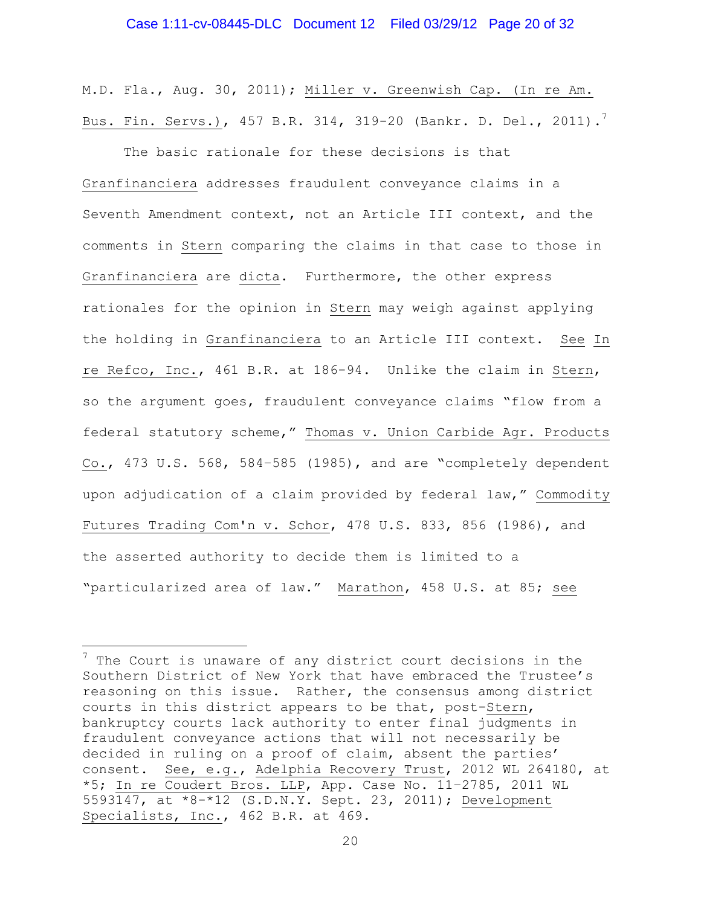M.D. Fla., Aug. 30, 2011); Miller v. Greenwish Cap. (In re Am. Bus. Fin. Servs.), 457 B.R. 314, 319-20 (Bankr. D. Del., 2011). $^7$ 

The basic rationale for these decisions is that Granfinanciera addresses fraudulent conveyance claims in a Seventh Amendment context, not an Article III context, and the comments in Stern comparing the claims in that case to those in Granfinanciera are dicta. Furthermore, the other express rationales for the opinion in Stern may weigh against applying the holding in Granfinanciera to an Article III context. See In re Refco, Inc., 461 B.R. at 186-94. Unlike the claim in Stern, so the argument goes, fraudulent conveyance claims "flow from a federal statutory scheme," Thomas v. Union Carbide Agr. Products Co., 473 U.S. 568, 584–585 (1985), and are "completely dependent upon adjudication of a claim provided by federal law," Commodity Futures Trading Com'n v. Schor, 478 U.S. 833, 856 (1986), and the asserted authority to decide them is limited to a "particularized area of law." Marathon, 458 U.S. at 85; see

 $\overline{a}$ 

 $7$  The Court is unaware of any district court decisions in the Southern District of New York that have embraced the Trustee's reasoning on this issue. Rather, the consensus among district courts in this district appears to be that, post-Stern, bankruptcy courts lack authority to enter final judgments in fraudulent conveyance actions that will not necessarily be decided in ruling on a proof of claim, absent the parties' consent. See, e.g., Adelphia Recovery Trust, 2012 WL 264180, at \*5; In re Coudert Bros. LLP, App. Case No. 11–2785, 2011 WL 5593147, at \*8-\*12 (S.D.N.Y. Sept. 23, 2011); Development Specialists, Inc., 462 B.R. at 469.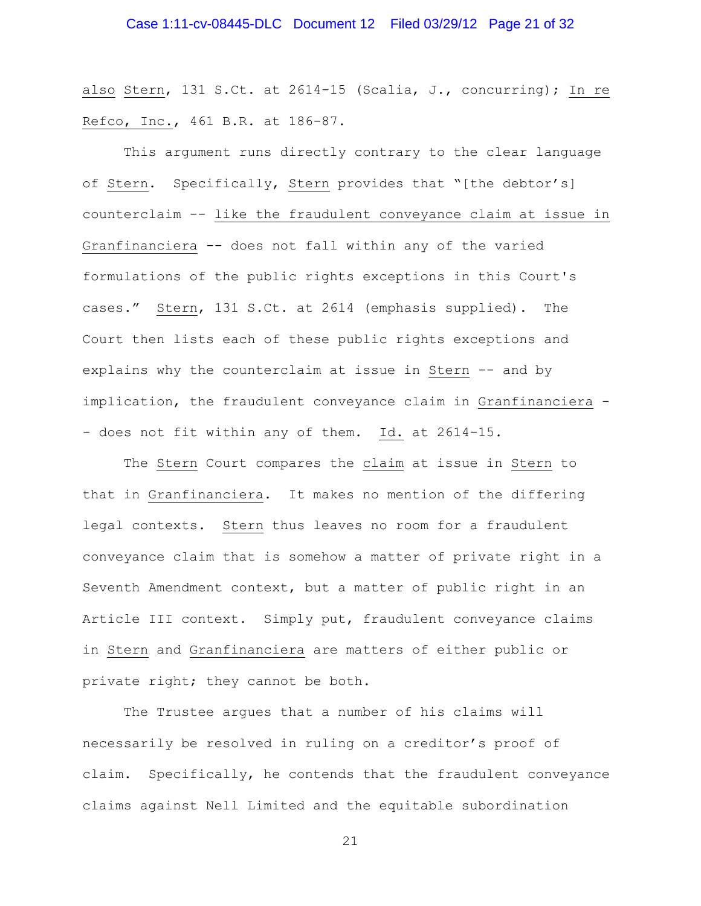also Stern, 131 S.Ct. at 2614-15 (Scalia, J., concurring); In re Refco, Inc., 461 B.R. at 186-87.

This argument runs directly contrary to the clear language of Stern. Specifically, Stern provides that "[the debtor's] counterclaim -- like the fraudulent conveyance claim at issue in Granfinanciera -- does not fall within any of the varied formulations of the public rights exceptions in this Court's cases." Stern, 131 S.Ct. at 2614 (emphasis supplied). The Court then lists each of these public rights exceptions and explains why the counterclaim at issue in Stern -- and by implication, the fraudulent conveyance claim in Granfinanciera - - does not fit within any of them. Id. at 2614-15.

The Stern Court compares the claim at issue in Stern to that in Granfinanciera. It makes no mention of the differing legal contexts. Stern thus leaves no room for a fraudulent conveyance claim that is somehow a matter of private right in a Seventh Amendment context, but a matter of public right in an Article III context. Simply put, fraudulent conveyance claims in Stern and Granfinanciera are matters of either public or private right; they cannot be both.

The Trustee argues that a number of his claims will necessarily be resolved in ruling on a creditor's proof of claim. Specifically, he contends that the fraudulent conveyance claims against Nell Limited and the equitable subordination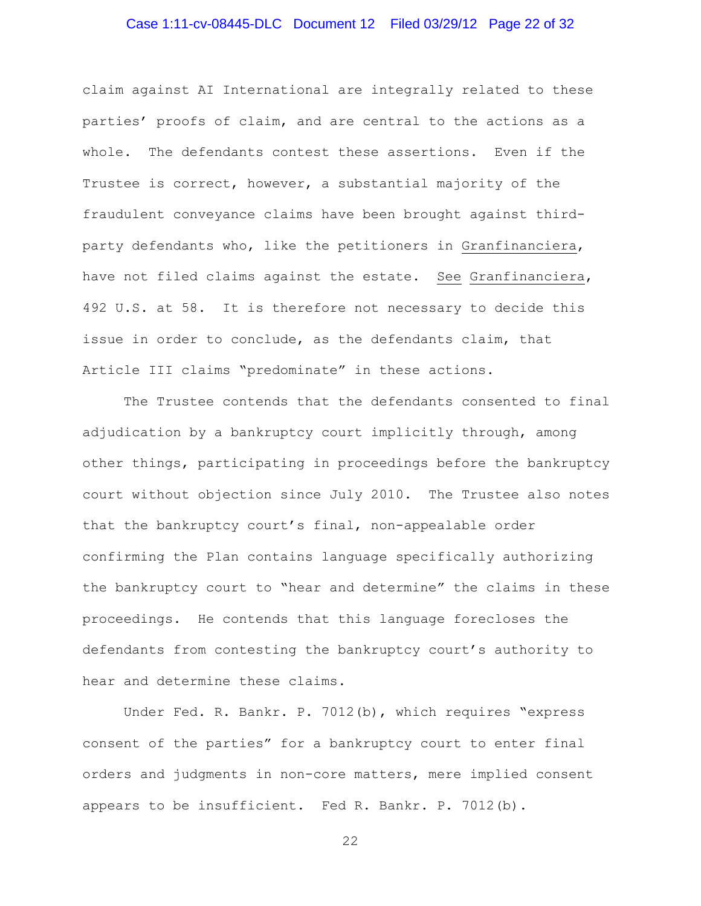# Case 1:11-cv-08445-DLC Document 12 Filed 03/29/12 Page 22 of 32

claim against AI International are integrally related to these parties' proofs of claim, and are central to the actions as a whole. The defendants contest these assertions. Even if the Trustee is correct, however, a substantial majority of the fraudulent conveyance claims have been brought against thirdparty defendants who, like the petitioners in Granfinanciera, have not filed claims against the estate. See Granfinanciera, 492 U.S. at 58. It is therefore not necessary to decide this issue in order to conclude, as the defendants claim, that Article III claims "predominate" in these actions.

The Trustee contends that the defendants consented to final adjudication by a bankruptcy court implicitly through, among other things, participating in proceedings before the bankruptcy court without objection since July 2010. The Trustee also notes that the bankruptcy court's final, non-appealable order confirming the Plan contains language specifically authorizing the bankruptcy court to "hear and determine" the claims in these proceedings. He contends that this language forecloses the defendants from contesting the bankruptcy court's authority to hear and determine these claims.

Under Fed. R. Bankr. P. 7012(b), which requires "express consent of the parties" for a bankruptcy court to enter final orders and judgments in non-core matters, mere implied consent appears to be insufficient. Fed R. Bankr. P. 7012(b).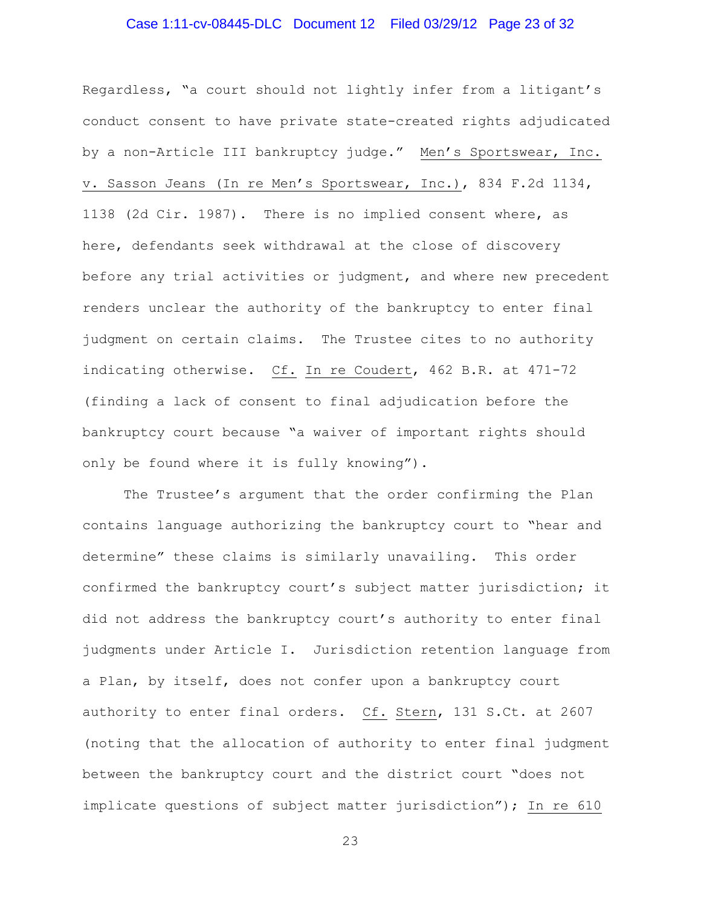# Case 1:11-cv-08445-DLC Document 12 Filed 03/29/12 Page 23 of 32

Regardless, "a court should not lightly infer from a litigant's conduct consent to have private state-created rights adjudicated by a non-Article III bankruptcy judge." Men's Sportswear, Inc. v. Sasson Jeans (In re Men's Sportswear, Inc.), 834 F.2d 1134, 1138 (2d Cir. 1987). There is no implied consent where, as here, defendants seek withdrawal at the close of discovery before any trial activities or judgment, and where new precedent renders unclear the authority of the bankruptcy to enter final judgment on certain claims. The Trustee cites to no authority indicating otherwise. Cf. In re Coudert, 462 B.R. at 471-72 (finding a lack of consent to final adjudication before the bankruptcy court because "a waiver of important rights should only be found where it is fully knowing").

The Trustee's argument that the order confirming the Plan contains language authorizing the bankruptcy court to "hear and determine" these claims is similarly unavailing. This order confirmed the bankruptcy court's subject matter jurisdiction; it did not address the bankruptcy court's authority to enter final judgments under Article I. Jurisdiction retention language from a Plan, by itself, does not confer upon a bankruptcy court authority to enter final orders. Cf. Stern, 131 S.Ct. at 2607 (noting that the allocation of authority to enter final judgment between the bankruptcy court and the district court "does not implicate questions of subject matter jurisdiction"); In re 610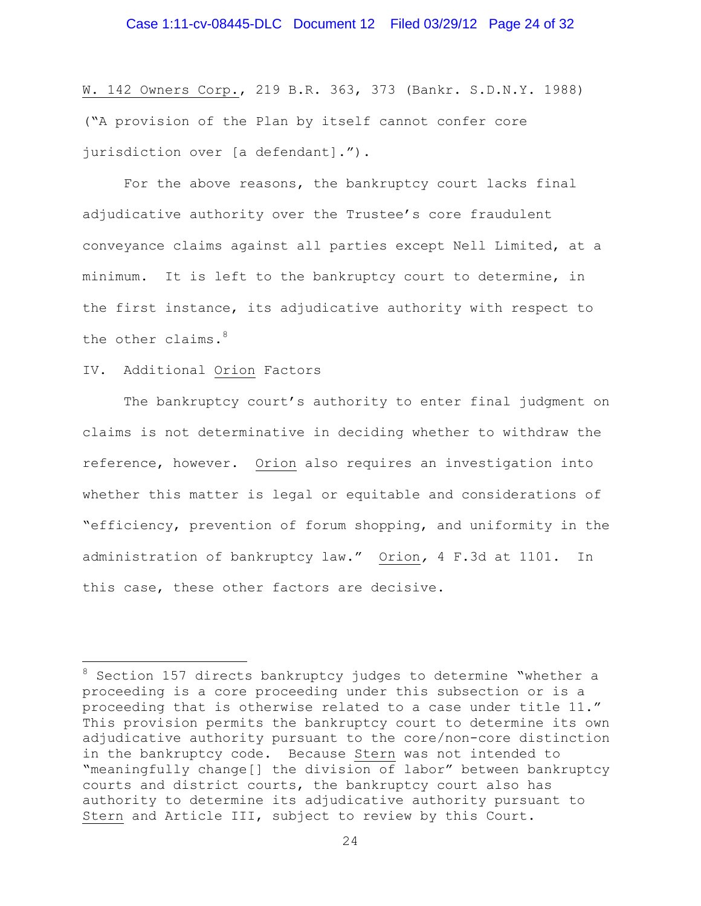### Case 1:11-cv-08445-DLC Document 12 Filed 03/29/12 Page 24 of 32

W. 142 Owners Corp., 219 B.R. 363, 373 (Bankr. S.D.N.Y. 1988) ("A provision of the Plan by itself cannot confer core jurisdiction over [a defendant].").

For the above reasons, the bankruptcy court lacks final adjudicative authority over the Trustee's core fraudulent conveyance claims against all parties except Nell Limited, at a minimum. It is left to the bankruptcy court to determine, in the first instance, its adjudicative authority with respect to the other claims.<sup>8</sup>

#### IV. Additional Orion Factors

 $\overline{a}$ 

The bankruptcy court's authority to enter final judgment on claims is not determinative in deciding whether to withdraw the reference, however. Orion also requires an investigation into whether this matter is legal or equitable and considerations of "efficiency, prevention of forum shopping, and uniformity in the administration of bankruptcy law." Orion*,* 4 F.3d at 1101. In this case, these other factors are decisive.

<sup>&</sup>lt;sup>8</sup> Section 157 directs bankruptcy judges to determine "whether a proceeding is a core proceeding under this subsection or is a proceeding that is otherwise related to a case under title 11." This provision permits the bankruptcy court to determine its own adjudicative authority pursuant to the core/non-core distinction in the bankruptcy code. Because Stern was not intended to "meaningfully change[] the division of labor" between bankruptcy courts and district courts, the bankruptcy court also has authority to determine its adjudicative authority pursuant to Stern and Article III, subject to review by this Court.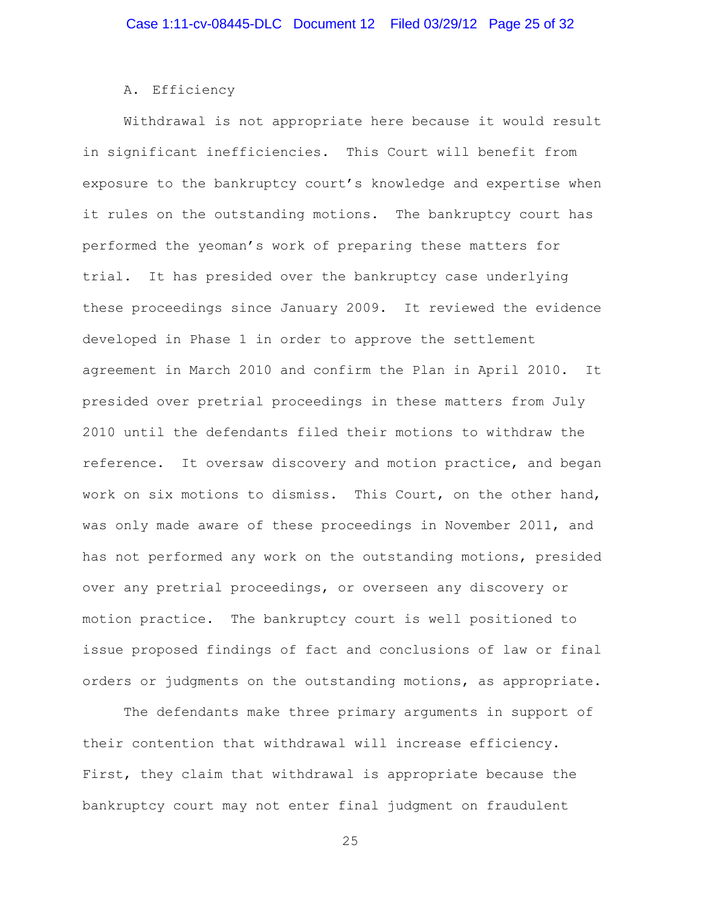#### A. Efficiency

Withdrawal is not appropriate here because it would result in significant inefficiencies. This Court will benefit from exposure to the bankruptcy court's knowledge and expertise when it rules on the outstanding motions. The bankruptcy court has performed the yeoman's work of preparing these matters for trial. It has presided over the bankruptcy case underlying these proceedings since January 2009. It reviewed the evidence developed in Phase 1 in order to approve the settlement agreement in March 2010 and confirm the Plan in April 2010. It presided over pretrial proceedings in these matters from July 2010 until the defendants filed their motions to withdraw the reference. It oversaw discovery and motion practice, and began work on six motions to dismiss. This Court, on the other hand, was only made aware of these proceedings in November 2011, and has not performed any work on the outstanding motions, presided over any pretrial proceedings, or overseen any discovery or motion practice. The bankruptcy court is well positioned to issue proposed findings of fact and conclusions of law or final orders or judgments on the outstanding motions, as appropriate.

The defendants make three primary arguments in support of their contention that withdrawal will increase efficiency. First, they claim that withdrawal is appropriate because the bankruptcy court may not enter final judgment on fraudulent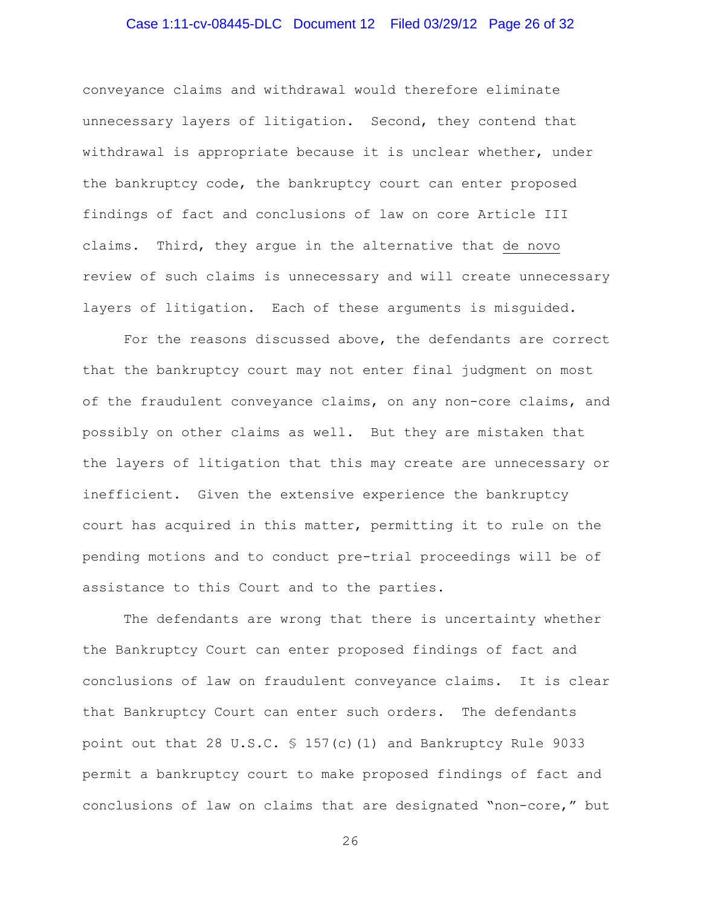# Case 1:11-cv-08445-DLC Document 12 Filed 03/29/12 Page 26 of 32

conveyance claims and withdrawal would therefore eliminate unnecessary layers of litigation. Second, they contend that withdrawal is appropriate because it is unclear whether, under the bankruptcy code, the bankruptcy court can enter proposed findings of fact and conclusions of law on core Article III claims. Third, they argue in the alternative that de novo review of such claims is unnecessary and will create unnecessary layers of litigation. Each of these arguments is misguided.

For the reasons discussed above, the defendants are correct that the bankruptcy court may not enter final judgment on most of the fraudulent conveyance claims, on any non-core claims, and possibly on other claims as well. But they are mistaken that the layers of litigation that this may create are unnecessary or inefficient. Given the extensive experience the bankruptcy court has acquired in this matter, permitting it to rule on the pending motions and to conduct pre-trial proceedings will be of assistance to this Court and to the parties.

The defendants are wrong that there is uncertainty whether the Bankruptcy Court can enter proposed findings of fact and conclusions of law on fraudulent conveyance claims. It is clear that Bankruptcy Court can enter such orders. The defendants point out that 28 U.S.C. § 157(c)(1) and Bankruptcy Rule 9033 permit a bankruptcy court to make proposed findings of fact and conclusions of law on claims that are designated "non-core," but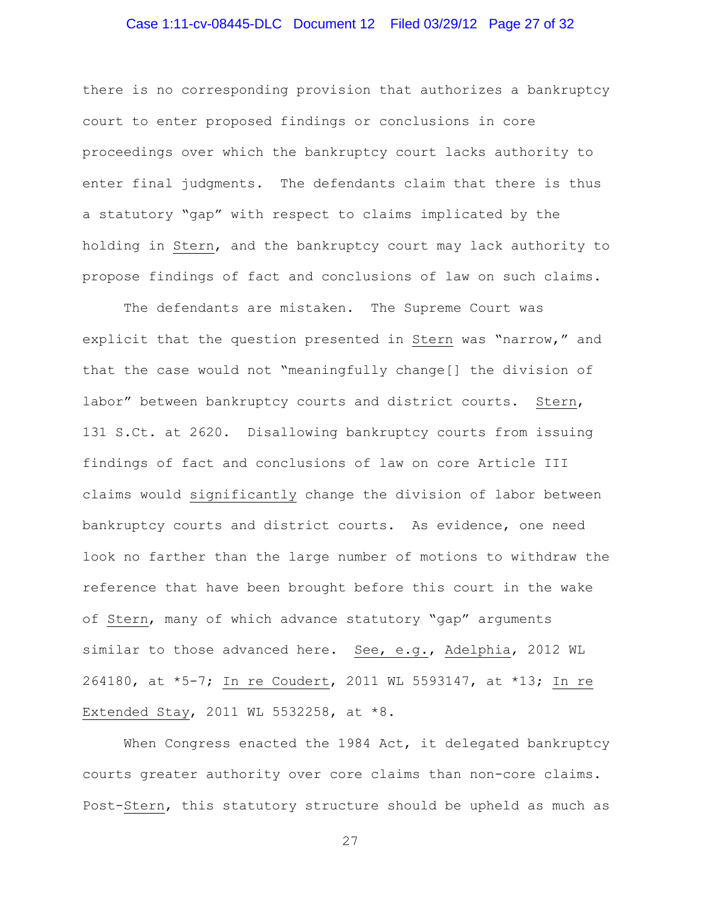# Case 1:11-cv-08445-DLC Document 12 Filed 03/29/12 Page 27 of 32

there is no corresponding provision that authorizes a bankruptcy court to enter proposed findings or conclusions in core proceedings over which the bankruptcy court lacks authority to enter final judgments. The defendants claim that there is thus a statutory "gap" with respect to claims implicated by the holding in Stern, and the bankruptcy court may lack authority to propose findings of fact and conclusions of law on such claims.

The defendants are mistaken. The Supreme Court was explicit that the question presented in Stern was "narrow," and that the case would not "meaningfully change[] the division of labor" between bankruptcy courts and district courts. Stern, 131 S.Ct. at 2620. Disallowing bankruptcy courts from issuing findings of fact and conclusions of law on core Article III claims would significantly change the division of labor between bankruptcy courts and district courts. As evidence, one need look no farther than the large number of motions to withdraw the reference that have been brought before this court in the wake of Stern, many of which advance statutory "gap" arguments similar to those advanced here. See, e.g., Adelphia, 2012 WL 264180, at \*5-7; In re Coudert, 2011 WL 5593147, at \*13; In re Extended Stay, 2011 WL 5532258, at \*8.

When Congress enacted the 1984 Act, it delegated bankruptcy courts greater authority over core claims than non-core claims. Post-Stern, this statutory structure should be upheld as much as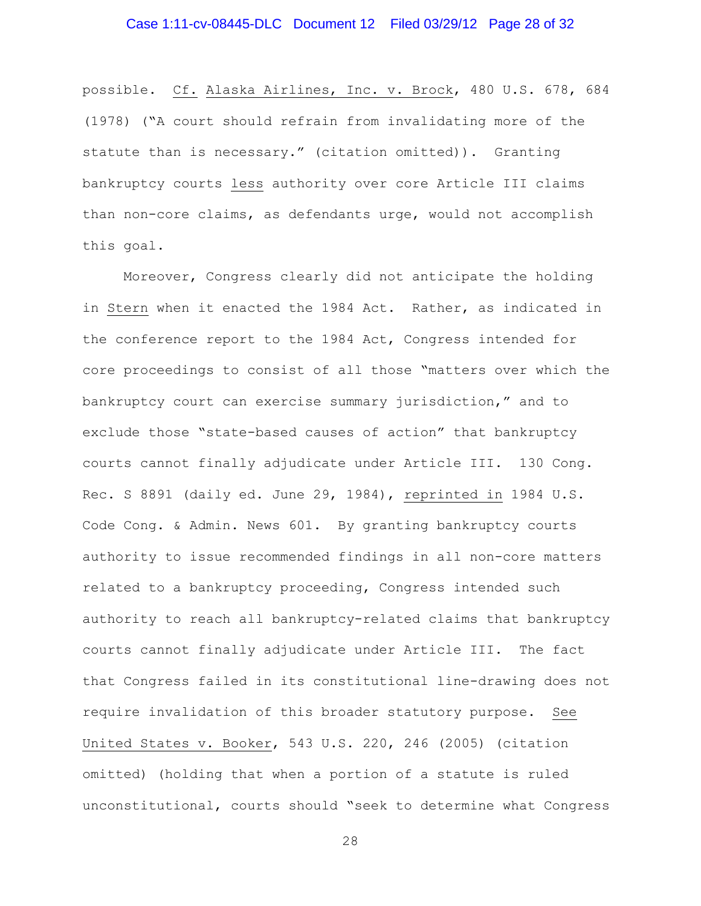possible. Cf. Alaska Airlines, Inc. v. Brock, 480 U.S. 678, 684 (1978) ("A court should refrain from invalidating more of the statute than is necessary." (citation omitted)). Granting bankruptcy courts less authority over core Article III claims than non-core claims, as defendants urge, would not accomplish this goal.

Moreover, Congress clearly did not anticipate the holding in Stern when it enacted the 1984 Act. Rather, as indicated in the conference report to the 1984 Act, Congress intended for core proceedings to consist of all those "matters over which the bankruptcy court can exercise summary jurisdiction," and to exclude those "state-based causes of action" that bankruptcy courts cannot finally adjudicate under Article III. 130 Cong. Rec. S 8891 (daily ed. June 29, 1984), reprinted in 1984 U.S. Code Cong. & Admin. News 601. By granting bankruptcy courts authority to issue recommended findings in all non-core matters related to a bankruptcy proceeding, Congress intended such authority to reach all bankruptcy-related claims that bankruptcy courts cannot finally adjudicate under Article III. The fact that Congress failed in its constitutional line-drawing does not require invalidation of this broader statutory purpose. See United States v. Booker, 543 U.S. 220, 246 (2005) (citation omitted) (holding that when a portion of a statute is ruled unconstitutional, courts should "seek to determine what Congress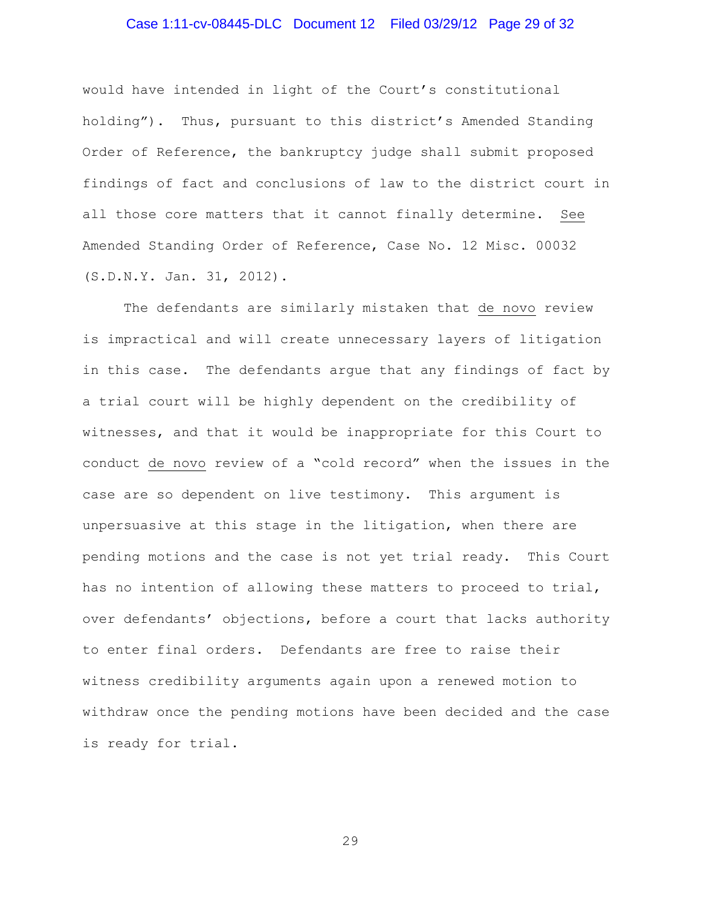### Case 1:11-cv-08445-DLC Document 12 Filed 03/29/12 Page 29 of 32

would have intended in light of the Court's constitutional holding"). Thus, pursuant to this district's Amended Standing Order of Reference, the bankruptcy judge shall submit proposed findings of fact and conclusions of law to the district court in all those core matters that it cannot finally determine. See Amended Standing Order of Reference, Case No. 12 Misc. 00032 (S.D.N.Y. Jan. 31, 2012).

The defendants are similarly mistaken that de novo review is impractical and will create unnecessary layers of litigation in this case. The defendants argue that any findings of fact by a trial court will be highly dependent on the credibility of witnesses, and that it would be inappropriate for this Court to conduct de novo review of a "cold record" when the issues in the case are so dependent on live testimony. This argument is unpersuasive at this stage in the litigation, when there are pending motions and the case is not yet trial ready. This Court has no intention of allowing these matters to proceed to trial, over defendants' objections, before a court that lacks authority to enter final orders. Defendants are free to raise their witness credibility arguments again upon a renewed motion to withdraw once the pending motions have been decided and the case is ready for trial.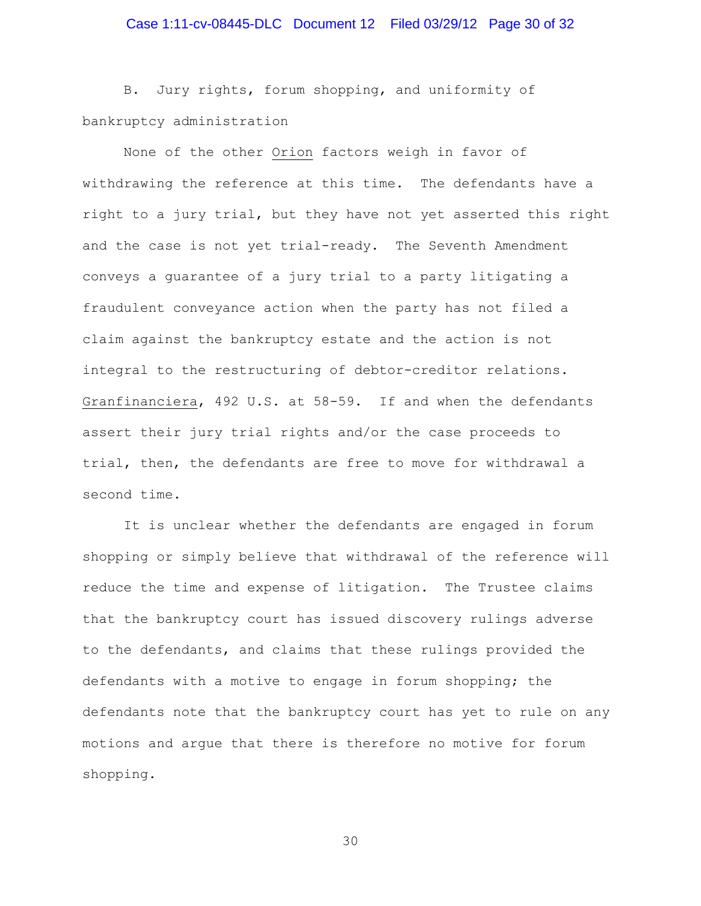# Case 1:11-cv-08445-DLC Document 12 Filed 03/29/12 Page 30 of 32

B. Jury rights, forum shopping, and uniformity of bankruptcy administration

None of the other Orion factors weigh in favor of withdrawing the reference at this time. The defendants have a right to a jury trial, but they have not yet asserted this right and the case is not yet trial-ready. The Seventh Amendment conveys a guarantee of a jury trial to a party litigating a fraudulent conveyance action when the party has not filed a claim against the bankruptcy estate and the action is not integral to the restructuring of debtor-creditor relations. Granfinanciera, 492 U.S. at 58-59. If and when the defendants assert their jury trial rights and/or the case proceeds to trial, then, the defendants are free to move for withdrawal a second time.

It is unclear whether the defendants are engaged in forum shopping or simply believe that withdrawal of the reference will reduce the time and expense of litigation. The Trustee claims that the bankruptcy court has issued discovery rulings adverse to the defendants, and claims that these rulings provided the defendants with a motive to engage in forum shopping; the defendants note that the bankruptcy court has yet to rule on any motions and argue that there is therefore no motive for forum shopping.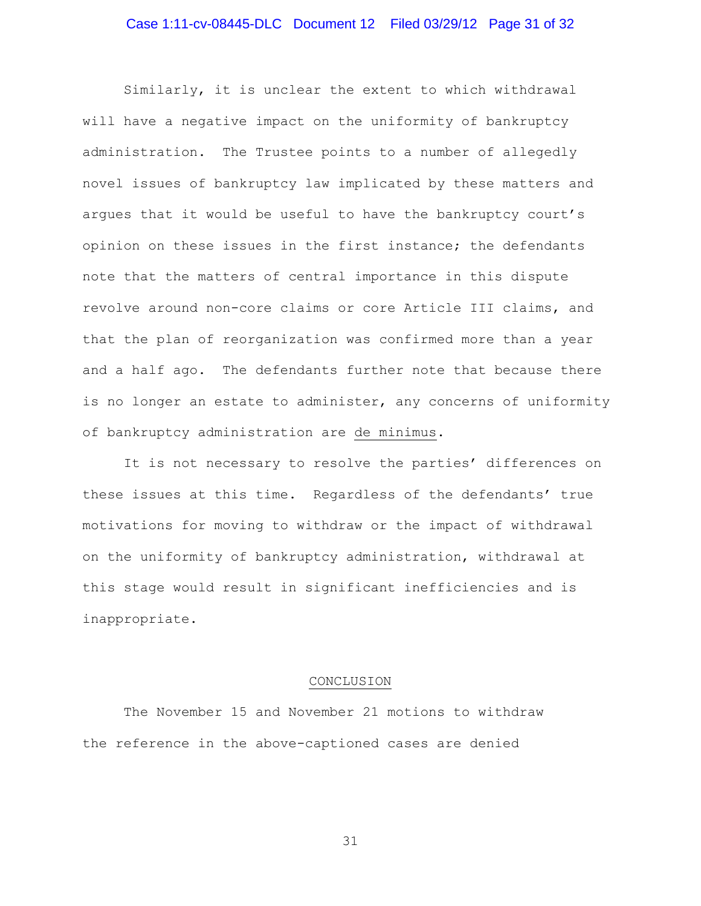# Case 1:11-cv-08445-DLC Document 12 Filed 03/29/12 Page 31 of 32

Similarly, it is unclear the extent to which withdrawal will have a negative impact on the uniformity of bankruptcy administration. The Trustee points to a number of allegedly novel issues of bankruptcy law implicated by these matters and argues that it would be useful to have the bankruptcy court's opinion on these issues in the first instance; the defendants note that the matters of central importance in this dispute revolve around non-core claims or core Article III claims, and that the plan of reorganization was confirmed more than a year and a half ago. The defendants further note that because there is no longer an estate to administer, any concerns of uniformity of bankruptcy administration are de minimus.

It is not necessary to resolve the parties' differences on these issues at this time. Regardless of the defendants' true motivations for moving to withdraw or the impact of withdrawal on the uniformity of bankruptcy administration, withdrawal at this stage would result in significant inefficiencies and is inappropriate.

#### CONCLUSION

The November 15 and November 21 motions to withdraw the reference in the above-captioned cases are denied